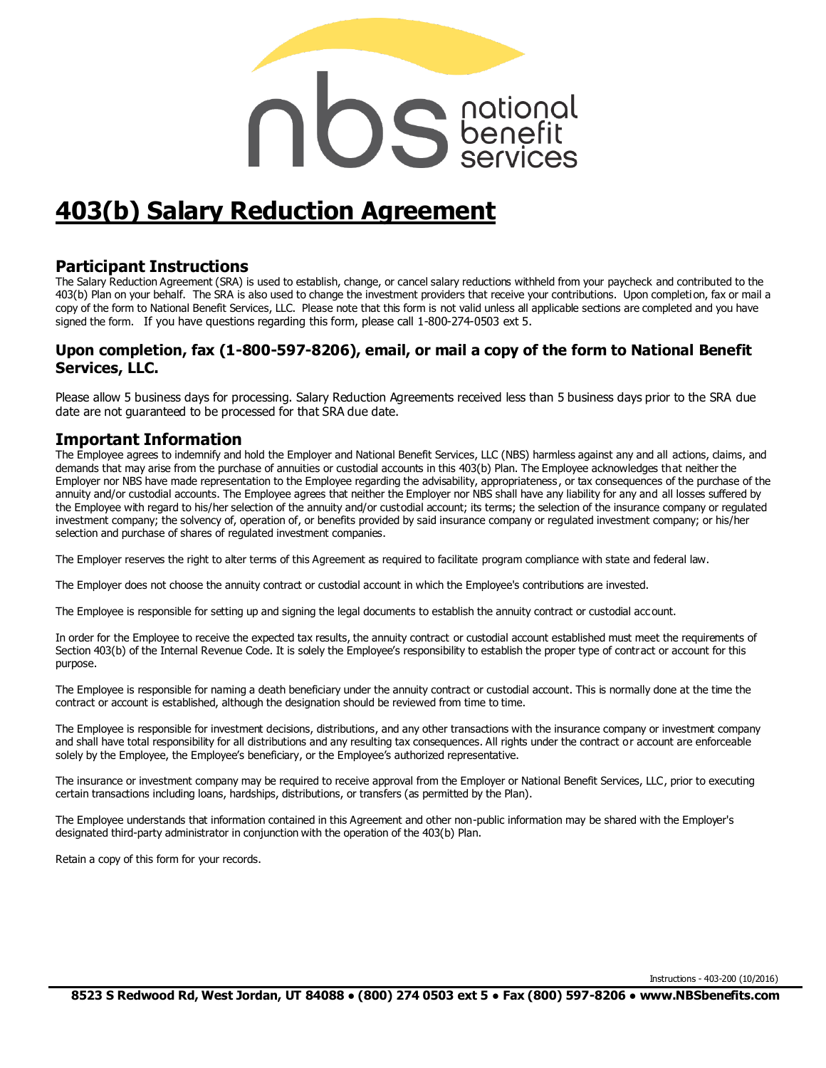# nos senefit

# **403(b) Salary Reduction Agreement**

#### **Participant Instructions**

The Salary Reduction Agreement (SRA) is used to establish, change, or cancel salary reductions withheld from your paycheck and contributed to the 403(b) Plan on your behalf. The SRA is also used to change the investment providers that receive your contributions. Upon completion, fax or mail a copy of the form to National Benefit Services, LLC. Please note that this form is not valid unless all applicable sections are completed and you have signed the form. If you have questions regarding this form, please call 1-800-274-0503 ext 5.

#### **Upon completion, fax (1-800-597-8206), email, or mail a copy of the form to National Benefit Services, LLC.**

Please allow 5 business days for processing. Salary Reduction Agreements received less than 5 business days prior to the SRA due date are not guaranteed to be processed for that SRA due date.

#### **Important Information**

The Employee agrees to indemnify and hold the Employer and National Benefit Services, LLC (NBS) harmless against any and all actions, claims, and demands that may arise from the purchase of annuities or custodial accounts in this 403(b) Plan. The Employee acknowledges that neither the Employer nor NBS have made representation to the Employee regarding the advisability, appropriateness , or tax consequences of the purchase of the annuity and/or custodial accounts. The Employee agrees that neither the Employer nor NBS shall have any liability for any and all losses suffered by the Employee with regard to his/her selection of the annuity and/or custodial account; its terms; the selection of the insurance company or regulated investment company; the solvency of, operation of, or benefits provided by said insurance company or regulated investment company; or his/her selection and purchase of shares of regulated investment companies.

The Employer reserves the right to alter terms of this Agreement as required to facilitate program compliance with state and federal law.

The Employer does not choose the annuity contract or custodial account in which the Employee's contributions are invested.

The Employee is responsible for setting up and signing the legal documents to establish the annuity contract or custodial account.

In order for the Employee to receive the expected tax results, the annuity contract or custodial account established must meet the requirements of Section 403(b) of the Internal Revenue Code. It is solely the Employee's responsibility to establish the proper type of contract or account for this purpose.

The Employee is responsible for naming a death beneficiary under the annuity contract or custodial account. This is normally done at the time the contract or account is established, although the designation should be reviewed from time to time.

The Employee is responsible for investment decisions, distributions, and any other transactions with the insurance company or investment company and shall have total responsibility for all distributions and any resulting tax consequences. All rights under the contract or account are enforceable solely by the Employee, the Employee's beneficiary, or the Employee's authorized representative.

The insurance or investment company may be required to receive approval from the Employer or National Benefit Services, LLC, prior to executing certain transactions including loans, hardships, distributions, or transfers (as permitted by the Plan).

The Employee understands that information contained in this Agreement and other non-public information may be shared with the Employer's designated third-party administrator in conjunction with the operation of the 403(b) Plan.

Retain a copy of this form for your records.

Instructions - 403-200 (10/2016)